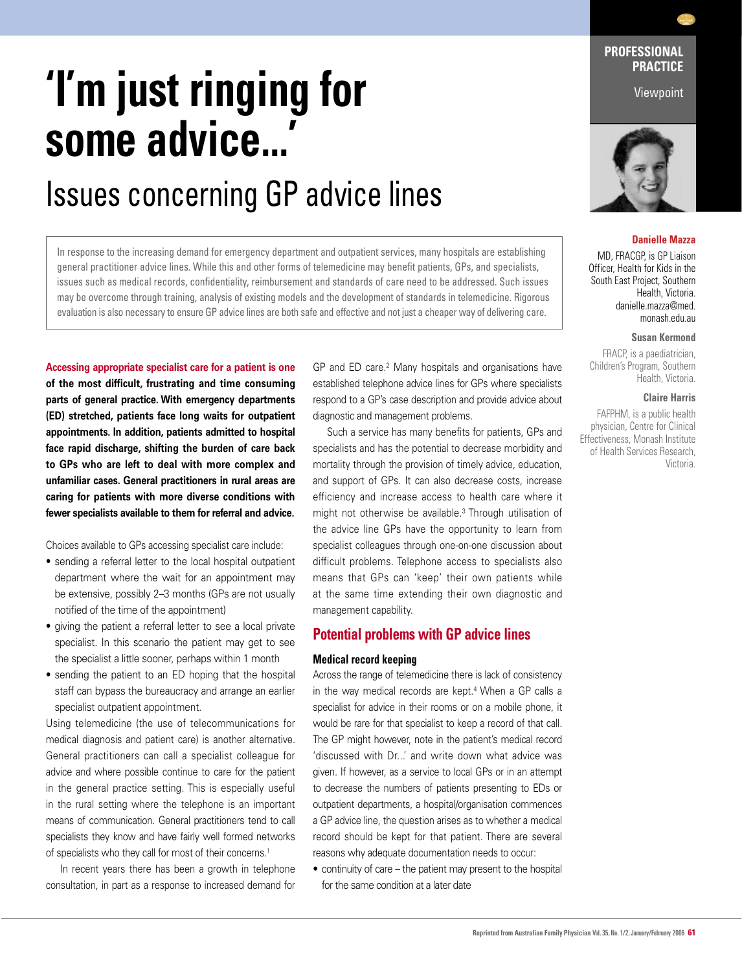# **'I'm just ringing for some advice...'**

# Issues concerning GP advice lines

In response to the increasing demand for emergency department and outpatient services, many hospitals are establishing general practitioner advice lines. While this and other forms of telemedicine may benefit patients, GPs, and specialists, issues such as medical records, confidentiality, reimbursement and standards of care need to be addressed. Such issues may be overcome through training, analysis of existing models and the development of standards in telemedicine. Rigorous evaluation is also necessary to ensure GP advice lines are both safe and effective and not just a cheaper way of delivering care.

**Accessing appropriate specialist care for a patient is one of the most difficult, frustrating and time consuming parts of general practice. With emergency departments (ED) stretched, patients face long waits for outpatient appointments. In addition, patients admitted to hospital face rapid discharge, shifting the burden of care back to GPs who are left to deal with more complex and unfamiliar cases. General practitioners in rural areas are caring for patients with more diverse conditions with fewer specialists available to them for referral and advice.** 

Choices available to GPs accessing specialist care include:

- sending a referral letter to the local hospital outpatient department where the wait for an appointment may be extensive, possibly 2–3 months (GPs are not usually notified of the time of the appointment)
- giving the patient a referral letter to see a local private specialist. In this scenario the patient may get to see the specialist a little sooner, perhaps within 1 month
- sending the patient to an ED hoping that the hospital staff can bypass the bureaucracy and arrange an earlier specialist outpatient appointment.

Using telemedicine (the use of telecommunications for medical diagnosis and patient care) is another alternative. General practitioners can call a specialist colleague for advice and where possible continue to care for the patient in the general practice setting. This is especially useful in the rural setting where the telephone is an important means of communication. General practitioners tend to call specialists they know and have fairly well formed networks of specialists who they call for most of their concerns.<sup>1</sup>

 In recent years there has been a growth in telephone consultation, in part as a response to increased demand for GP and ED care.2 Many hospitals and organisations have established telephone advice lines for GPs where specialists respond to a GP's case description and provide advice about diagnostic and management problems.

 Such a service has many benefits for patients, GPs and specialists and has the potential to decrease morbidity and mortality through the provision of timely advice, education, and support of GPs. It can also decrease costs, increase efficiency and increase access to health care where it might not otherwise be available.3 Through utilisation of the advice line GPs have the opportunity to learn from specialist colleagues through one-on-one discussion about difficult problems. Telephone access to specialists also means that GPs can 'keep' their own patients while at the same time extending their own diagnostic and management capability.

### **Potential problems with GP advice lines**

#### **Medical record keeping**

Across the range of telemedicine there is lack of consistency in the way medical records are kept.<sup>4</sup> When a GP calls a specialist for advice in their rooms or on a mobile phone, it would be rare for that specialist to keep a record of that call. The GP might however, note in the patient's medical record 'discussed with Dr...' and write down what advice was given. If however, as a service to local GPs or in an attempt to decrease the numbers of patients presenting to EDs or outpatient departments, a hospital/organisation commences a GP advice line, the question arises as to whether a medical record should be kept for that patient. There are several reasons why adequate documentation needs to occur:

• continuity of care – the patient may present to the hospital for the same condition at a later date

**PROFESSIONAL PRACTICE** 

Viewpoint



#### **Danielle Mazza**

MD, FRACGP, is GP Liaison Officer, Health for Kids in the South East Project, Southern Health, Victoria. danielle.mazza@med. monash.edu.au

**Susan Kermond**

FRACP, is a paediatrician, Children's Program, Southern Health, Victoria.

#### **Claire Harris**

FAFPHM, is a public health physician, Centre for Clinical Effectiveness, Monash Institute of Health Services Research, Victoria.